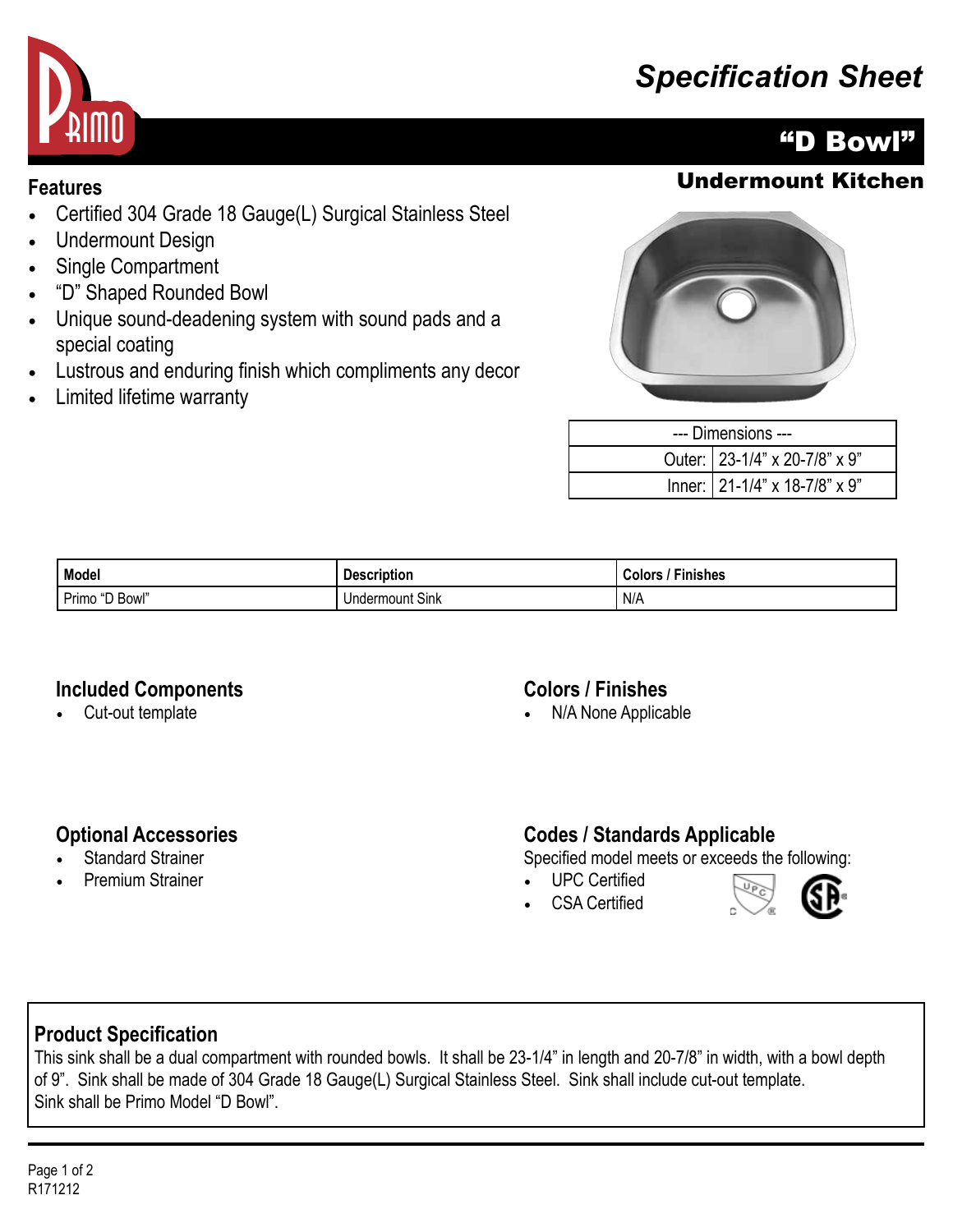# *Specification Sheet*



- Certified 304 Grade 18 Gauge(L) Surgical Stainless Steel
- Undermount Design
- Single Compartment
- "D" Shaped Rounded Bowl
- Unique sound-deadening system with sound pads and a special coating
- Lustrous and enduring finish which compliments any decor
- Limited lifetime warranty

# "D Bowl"

## **Features** Undermount Kitchen



| --- Dimensions --- |                                     |  |
|--------------------|-------------------------------------|--|
|                    | Outer:   23-1/4" x 20-7/8" x 9"     |  |
|                    | Inner: $21-1/4$ " x 18-7/8" x $9$ " |  |

| Model                 | .<br><b>Description</b> | Finishes<br>Colors |
|-----------------------|-------------------------|--------------------|
| <b>Primo</b><br>Bowl' | <b>Undermount Sink</b>  | ' N/A              |

#### **Included Components**

• Cut-out template

#### **Colors / Finishes**

• N/A None Applicable

### **Optional Accessories**

- **Standard Strainer**
- Premium Strainer

### **Codes / Standards Applicable**

Specified model meets or exceeds the following:

- UPC Certified
- CSA Certified



## **Product Specification**

This sink shall be a dual compartment with rounded bowls. It shall be 23-1/4" in length and 20-7/8" in width, with a bowl depth of 9". Sink shall be made of 304 Grade 18 Gauge(L) Surgical Stainless Steel. Sink shall include cut-out template. Sink shall be Primo Model "D Bowl".